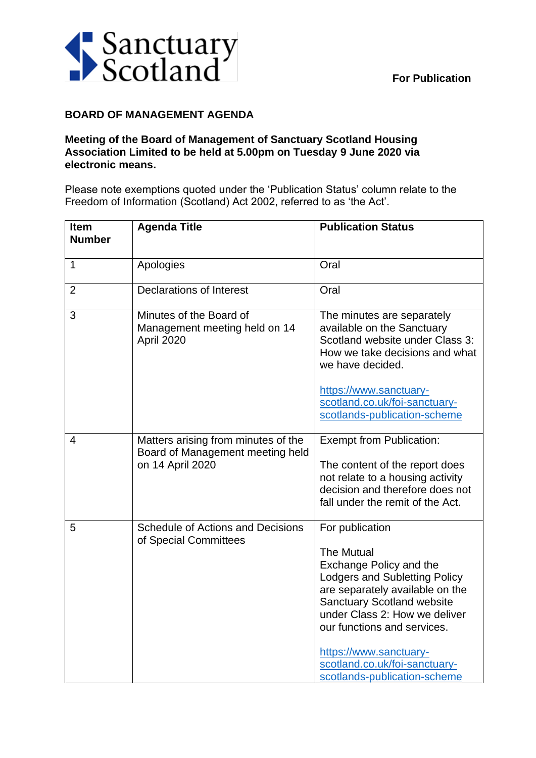

## **BOARD OF MANAGEMENT AGENDA**

## **Meeting of the Board of Management of Sanctuary Scotland Housing Association Limited to be held at 5.00pm on Tuesday 9 June 2020 via electronic means.**

Please note exemptions quoted under the 'Publication Status' column relate to the Freedom of Information (Scotland) Act 2002, referred to as 'the Act'.

| <b>Item</b><br><b>Number</b> | <b>Agenda Title</b>                                                                         | <b>Publication Status</b>                                                                                                                                                                                                                                                                                                                  |
|------------------------------|---------------------------------------------------------------------------------------------|--------------------------------------------------------------------------------------------------------------------------------------------------------------------------------------------------------------------------------------------------------------------------------------------------------------------------------------------|
| 1                            | Apologies                                                                                   | Oral                                                                                                                                                                                                                                                                                                                                       |
| $\overline{2}$               | <b>Declarations of Interest</b>                                                             | Oral                                                                                                                                                                                                                                                                                                                                       |
| 3                            | Minutes of the Board of<br>Management meeting held on 14<br>April 2020                      | The minutes are separately<br>available on the Sanctuary<br>Scotland website under Class 3:<br>How we take decisions and what<br>we have decided.<br>https://www.sanctuary-<br>scotland.co.uk/foi-sanctuary-<br>scotlands-publication-scheme                                                                                               |
| $\overline{4}$               | Matters arising from minutes of the<br>Board of Management meeting held<br>on 14 April 2020 | <b>Exempt from Publication:</b><br>The content of the report does<br>not relate to a housing activity<br>decision and therefore does not<br>fall under the remit of the Act.                                                                                                                                                               |
| 5                            | <b>Schedule of Actions and Decisions</b><br>of Special Committees                           | For publication<br><b>The Mutual</b><br>Exchange Policy and the<br><b>Lodgers and Subletting Policy</b><br>are separately available on the<br><b>Sanctuary Scotland website</b><br>under Class 2: How we deliver<br>our functions and services.<br>https://www.sanctuary-<br>scotland.co.uk/foi-sanctuary-<br>scotlands-publication-scheme |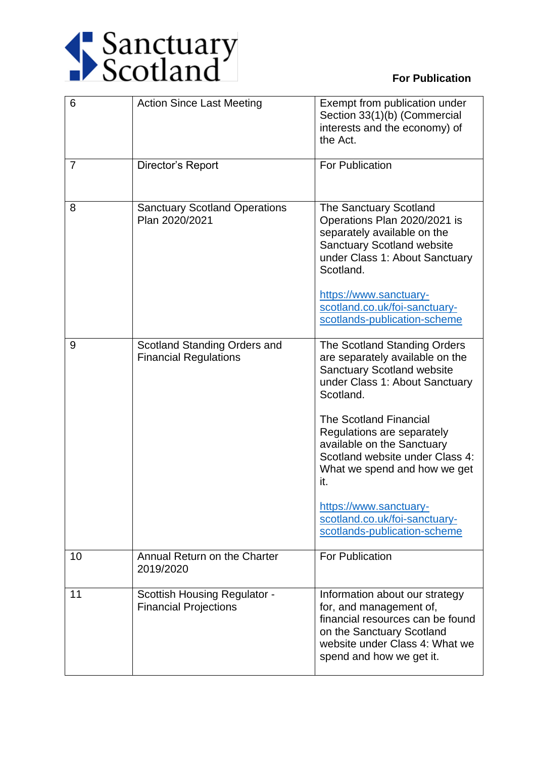

## **For Publication**

| 6  | <b>Action Since Last Meeting</b>                                    | Exempt from publication under<br>Section 33(1)(b) (Commercial<br>interests and the economy) of<br>the Act.                                                                                                                                                                                                                                                                                                            |
|----|---------------------------------------------------------------------|-----------------------------------------------------------------------------------------------------------------------------------------------------------------------------------------------------------------------------------------------------------------------------------------------------------------------------------------------------------------------------------------------------------------------|
| 7  | Director's Report                                                   | <b>For Publication</b>                                                                                                                                                                                                                                                                                                                                                                                                |
| 8  | <b>Sanctuary Scotland Operations</b><br>Plan 2020/2021              | The Sanctuary Scotland<br>Operations Plan 2020/2021 is<br>separately available on the<br><b>Sanctuary Scotland website</b><br>under Class 1: About Sanctuary<br>Scotland.<br>https://www.sanctuary-<br>scotland.co.uk/foi-sanctuary-<br>scotlands-publication-scheme                                                                                                                                                  |
| 9  | Scotland Standing Orders and<br><b>Financial Regulations</b>        | The Scotland Standing Orders<br>are separately available on the<br><b>Sanctuary Scotland website</b><br>under Class 1: About Sanctuary<br>Scotland.<br><b>The Scotland Financial</b><br>Regulations are separately<br>available on the Sanctuary<br>Scotland website under Class 4:<br>What we spend and how we get<br>it.<br>https://www.sanctuary-<br>scotland.co.uk/foi-sanctuary-<br>scotlands-publication-scheme |
| 10 | Annual Return on the Charter<br>2019/2020                           | <b>For Publication</b>                                                                                                                                                                                                                                                                                                                                                                                                |
| 11 | <b>Scottish Housing Regulator -</b><br><b>Financial Projections</b> | Information about our strategy<br>for, and management of,<br>financial resources can be found<br>on the Sanctuary Scotland<br>website under Class 4: What we<br>spend and how we get it.                                                                                                                                                                                                                              |